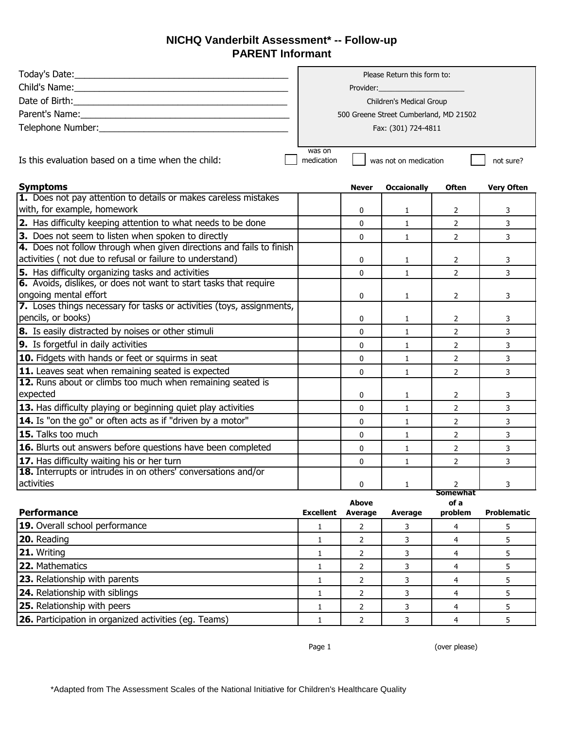## **NICHQ Vanderbilt Assessment\* -- Follow-up PARENT Informant**

|                                                                                                | Please Return this form to:            |                                    |                     |                 |                    |  |
|------------------------------------------------------------------------------------------------|----------------------------------------|------------------------------------|---------------------|-----------------|--------------------|--|
|                                                                                                | Provider:                              |                                    |                     |                 |                    |  |
|                                                                                                | Children's Medical Group               |                                    |                     |                 |                    |  |
|                                                                                                | 500 Greene Street Cumberland, MD 21502 |                                    |                     |                 |                    |  |
|                                                                                                | Fax: (301) 724-4811                    |                                    |                     |                 |                    |  |
|                                                                                                |                                        |                                    |                     |                 |                    |  |
| Is this evaluation based on a time when the child:                                             | was on<br>medication                   | was not on medication<br>not sure? |                     |                 |                    |  |
| <b>Symptoms</b>                                                                                |                                        | <b>Never</b>                       | <b>Occaionally</b>  | <b>Often</b>    | <b>Very Often</b>  |  |
| 1. Does not pay attention to details or makes careless mistakes                                |                                        |                                    |                     |                 |                    |  |
| with, for example, homework                                                                    |                                        | 0                                  | $\mathbf{1}$        | 2               | 3                  |  |
| 2. Has difficulty keeping attention to what needs to be done                                   |                                        | 0                                  | $\mathbf{1}$        | $\overline{2}$  | 3                  |  |
| 3. Does not seem to listen when spoken to directly                                             |                                        | 0                                  | $\mathbf{1}$        | $\overline{2}$  | 3                  |  |
| 4. Does not follow through when given directions and fails to finish                           |                                        |                                    |                     |                 |                    |  |
| activities (not due to refusal or failure to understand)                                       |                                        | 0                                  | $\mathbf{1}$        | $\overline{2}$  | 3                  |  |
| 5. Has difficulty organizing tasks and activities                                              |                                        | $\Omega$                           | $\mathbf{1}$        | $\mathcal{P}$   | $\overline{3}$     |  |
| 6. Avoids, dislikes, or does not want to start tasks that require                              |                                        |                                    |                     |                 |                    |  |
| ongoing mental effort<br>7. Loses things necessary for tasks or activities (toys, assignments, |                                        | $\mathbf{0}$                       | $\mathbf{1}$        | $\overline{2}$  | 3                  |  |
| pencils, or books)                                                                             |                                        | 0                                  | $\mathbf{1}$        | 2               | 3                  |  |
| 8. Is easily distracted by noises or other stimuli                                             |                                        | 0                                  | $\mathbf{1}$        | $\overline{2}$  | 3                  |  |
| 9. Is forgetful in daily activities                                                            |                                        | $\mathbf{0}$                       | $\mathbf{1}$        | $\overline{2}$  | 3                  |  |
| 10. Fidgets with hands or feet or squirms in seat                                              |                                        | 0                                  | $\mathbf{1}$        | $\overline{2}$  | 3                  |  |
| 11. Leaves seat when remaining seated is expected                                              |                                        |                                    |                     | $\overline{2}$  |                    |  |
| 12. Runs about or climbs too much when remaining seated is                                     |                                        | $\mathbf{0}$                       | $\mathbf{1}$        |                 | 3                  |  |
| expected                                                                                       |                                        | 0                                  | 1                   | 2               | 3                  |  |
| 13. Has difficulty playing or beginning quiet play activities                                  |                                        | 0                                  | $\mathbf{1}$        | $\overline{2}$  | 3                  |  |
| 14. Is "on the go" or often acts as if "driven by a motor"                                     |                                        | $\mathbf{0}$                       | $\mathbf{1}$        | $\overline{2}$  | 3                  |  |
| 15. Talks too much                                                                             |                                        | 0                                  | $\mathbf{1}$        | $\overline{2}$  | 3                  |  |
| 16. Blurts out answers before questions have been completed                                    |                                        | 0                                  | $\mathbf{1}$        | $\overline{2}$  | 3                  |  |
| 17. Has difficulty waiting his or her turn                                                     |                                        | 0                                  | $\mathbf{1}$        | $\overline{2}$  | 3                  |  |
| 18. Interrupts or intrudes in on others' conversations and/or                                  |                                        |                                    |                     |                 |                    |  |
| activities                                                                                     |                                        | 0                                  | 1                   | 2               | 3                  |  |
|                                                                                                |                                        |                                    |                     | Somewhat        |                    |  |
| <b>Performance</b>                                                                             | <b>Excellent</b>                       | <b>Above</b><br><b>Average</b>     | <b>Average</b>      | of a<br>problem | <b>Problematic</b> |  |
| 19. Overall school performance                                                                 | 1                                      | 2                                  | 3                   | 4               | 5                  |  |
| 20. Reading                                                                                    | $\mathbf{1}$                           | $\overline{2}$                     | 3                   | 4               | 5                  |  |
| 21. Writing                                                                                    | $\mathbf{1}$                           | $\overline{2}$                     | 3                   | $\overline{4}$  | 5                  |  |
| 22. Mathematics                                                                                | $\mathbf{1}$                           | $\overline{2}$                     | 3                   | 4               | 5                  |  |
| 23. Relationship with parents                                                                  |                                        |                                    |                     | 4               | 5                  |  |
| 24. Relationship with siblings                                                                 | 1<br>$\mathbf{1}$                      | $\overline{2}$<br>2                | 3<br>$\overline{3}$ | $\overline{4}$  | 5                  |  |
| 25. Relationship with peers                                                                    |                                        |                                    |                     |                 |                    |  |
| 26. Participation in organized activities (eg. Teams)                                          | 1                                      | $\overline{2}$                     | 3                   | 4               | 5                  |  |
|                                                                                                | $\mathbf{1}$                           | $\overline{2}$                     | $\mathbf{3}$        | 4               | 5                  |  |

Page 1 (over please)